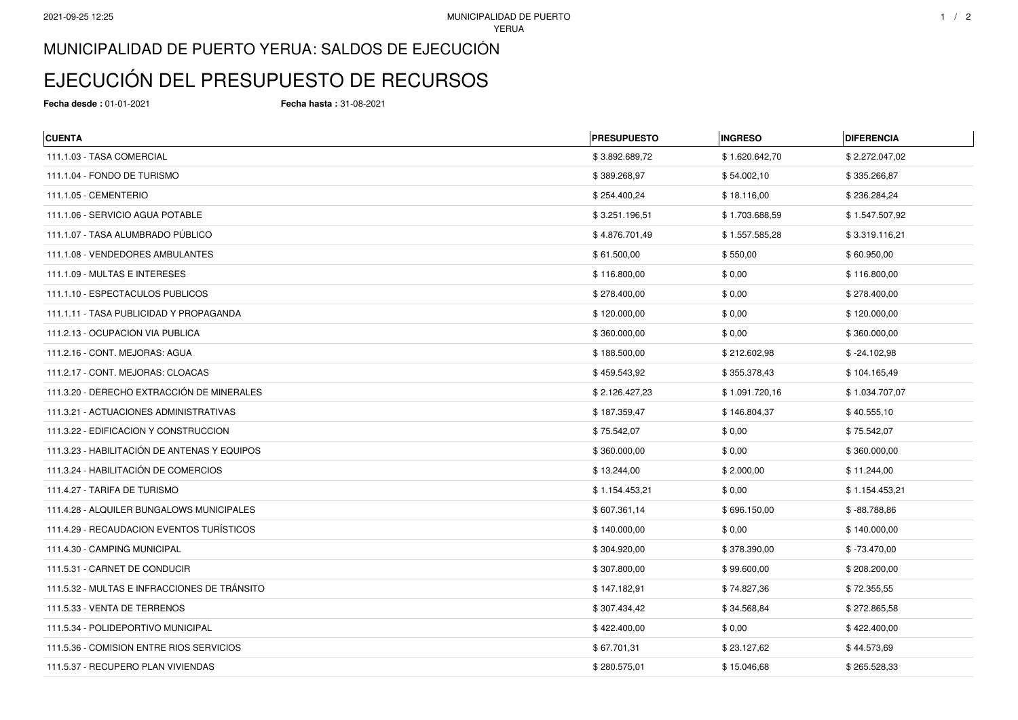## MUNICIPALIDAD DE PUERTO YERUA: SALDOS DE EJECUCIÓN

## EJECUCIÓN DEL PRESUPUESTO DE RECURSOS

**Fecha desde :** 01-01-2021 **Fecha hasta :** 31-08-2021

| <b>CUENTA</b>                                | <b>PRESUPUESTO</b> | <b>INGRESO</b> | <b>DIFERENCIA</b> |
|----------------------------------------------|--------------------|----------------|-------------------|
| 111.1.03 - TASA COMERCIAL                    | \$3.892.689,72     | \$1.620.642,70 | \$2.272.047,02    |
| 111.1.04 - FONDO DE TURISMO                  | \$389.268,97       | \$54.002,10    | \$335.266,87      |
| 111.1.05 - CEMENTERIO                        | \$254.400,24       | \$18.116,00    | \$236.284,24      |
| 111.1.06 - SERVICIO AGUA POTABLE             | \$3.251.196,51     | \$1.703.688,59 | \$1.547.507,92    |
| 111.1.07 - TASA ALUMBRADO PÚBLICO            | \$4.876.701,49     | \$1.557.585,28 | \$3.319.116,21    |
| 111.1.08 - VENDEDORES AMBULANTES             | \$61.500,00        | \$550,00       | \$60.950,00       |
| 111.1.09 - MULTAS E INTERESES                | \$116.800,00       | \$0,00         | \$116.800,00      |
| 111.1.10 - ESPECTACULOS PUBLICOS             | \$278.400,00       | \$0,00         | \$278.400,00      |
| 111.1.11 - TASA PUBLICIDAD Y PROPAGANDA      | \$120.000,00       | \$0,00         | \$120.000,00      |
| 111.2.13 - OCUPACION VIA PUBLICA             | \$360.000,00       | \$0,00         | \$360.000,00      |
| 111.2.16 - CONT. MEJORAS: AGUA               | \$188.500,00       | \$212.602,98   | $$ -24.102,98$    |
| 111.2.17 - CONT. MEJORAS: CLOACAS            | \$459.543,92       | \$355.378,43   | \$104.165,49      |
| 111.3.20 - DERECHO EXTRACCIÓN DE MINERALES   | \$2.126.427,23     | \$1.091.720,16 | \$1.034.707,07    |
| 111.3.21 - ACTUACIONES ADMINISTRATIVAS       | \$187.359,47       | \$146.804,37   | \$40.555,10       |
| 111.3.22 - EDIFICACION Y CONSTRUCCION        | \$75.542,07        | \$0,00         | \$75.542,07       |
| 111.3.23 - HABILITACIÓN DE ANTENAS Y EQUIPOS | \$360.000,00       | \$0,00         | \$360.000,00      |
| 111.3.24 - HABILITACIÓN DE COMERCIOS         | \$13.244,00        | \$2.000,00     | \$11.244,00       |
| 111.4.27 - TARIFA DE TURISMO                 | \$1.154.453,21     | \$0,00         | \$1.154.453,21    |
| 111.4.28 - ALQUILER BUNGALOWS MUNICIPALES    | \$607.361,14       | \$696.150,00   | $$ -88.788,86$    |
| 111.4.29 - RECAUDACION EVENTOS TURÍSTICOS    | \$140.000,00       | \$0,00         | \$140.000,00      |
| 111.4.30 - CAMPING MUNICIPAL                 | \$304.920,00       | \$378.390,00   | $$ -73.470.00$    |
| 111.5.31 - CARNET DE CONDUCIR                | \$307.800,00       | \$99.600,00    | \$208.200,00      |
| 111.5.32 - MULTAS E INFRACCIONES DE TRÁNSITO | \$147.182,91       | \$74.827,36    | \$72.355,55       |
| 111.5.33 - VENTA DE TERRENOS                 | \$307.434,42       | \$34.568,84    | \$272.865,58      |
| 111.5.34 - POLIDEPORTIVO MUNICIPAL           | \$422.400,00       | \$0,00         | \$422.400,00      |
| 111.5.36 - COMISION ENTRE RIOS SERVICIOS     | \$67.701,31        | \$23.127,62    | \$44.573,69       |
| 111.5.37 - RECUPERO PLAN VIVIENDAS           | \$280.575,01       | \$15.046,68    | \$265.528,33      |